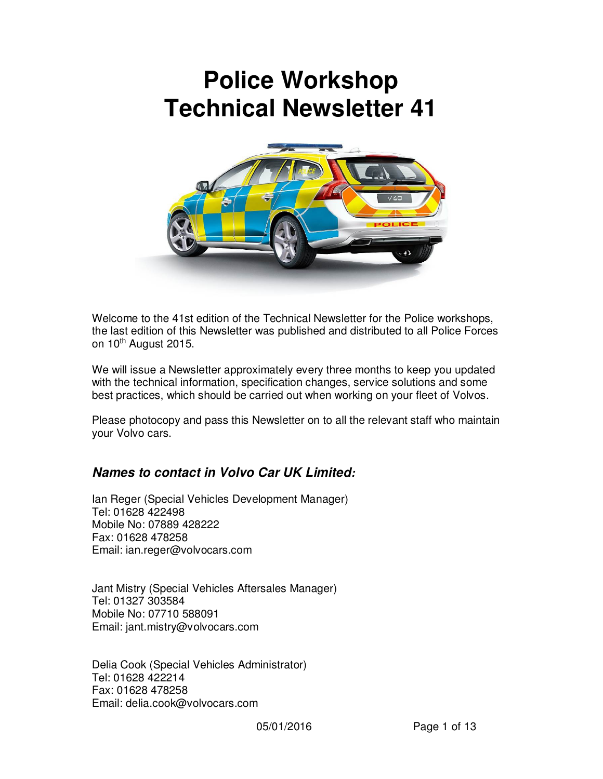# **Police Workshop Technical Newsletter 41**



Welcome to the 41st edition of the Technical Newsletter for the Police workshops, the last edition of this Newsletter was published and distributed to all Police Forces on 10<sup>th</sup> August 2015.

We will issue a Newsletter approximately every three months to keep you updated with the technical information, specification changes, service solutions and some best practices, which should be carried out when working on your fleet of Volvos.

Please photocopy and pass this Newsletter on to all the relevant staff who maintain your Volvo cars.

### *Names to contact in Volvo Car UK Limited:*

Ian Reger (Special Vehicles Development Manager) Tel: 01628 422498 Mobile No: 07889 428222 Fax: 01628 478258 Email: ian.reger@volvocars.com

Jant Mistry (Special Vehicles Aftersales Manager) Tel: 01327 303584 Mobile No: 07710 588091 Email: jant.mistry@volvocars.com

Delia Cook (Special Vehicles Administrator) Tel: 01628 422214 Fax: 01628 478258 Email: delia.cook@volvocars.com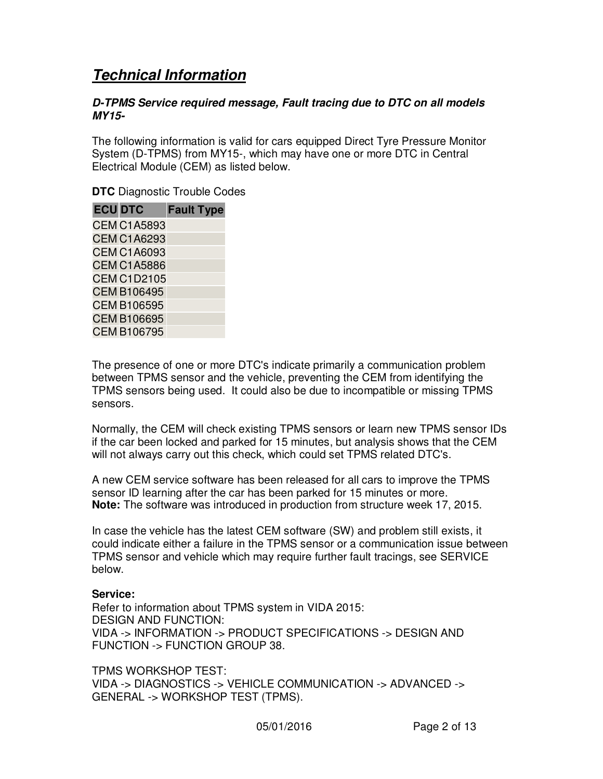# *Technical Information*

#### *D-TPMS Service required message, Fault tracing due to DTC on all models MY15-*

The following information is valid for cars equipped Direct Tyre Pressure Monitor System (D-TPMS) from MY15-, which may have one or more DTC in Central Electrical Module (CEM) as listed below.

**DTC** Diagnostic Trouble Codes

| <b>ECU DTC</b>     | <b>Fault Type</b> |
|--------------------|-------------------|
| <b>CEM C1A5893</b> |                   |
| <b>CEM C1A6293</b> |                   |
| <b>CEM C1A6093</b> |                   |
| <b>CEM C1A5886</b> |                   |
| <b>CEM C1D2105</b> |                   |
| <b>CEM B106495</b> |                   |
| <b>CEM B106595</b> |                   |
| <b>CEM B106695</b> |                   |
| <b>CEM B106795</b> |                   |

The presence of one or more DTC's indicate primarily a communication problem between TPMS sensor and the vehicle, preventing the CEM from identifying the TPMS sensors being used. It could also be due to incompatible or missing TPMS sensors.

Normally, the CEM will check existing TPMS sensors or learn new TPMS sensor IDs if the car been locked and parked for 15 minutes, but analysis shows that the CEM will not always carry out this check, which could set TPMS related DTC's.

A new CEM service software has been released for all cars to improve the TPMS sensor ID learning after the car has been parked for 15 minutes or more. **Note:** The software was introduced in production from structure week 17, 2015.

In case the vehicle has the latest CEM software (SW) and problem still exists, it could indicate either a failure in the TPMS sensor or a communication issue between TPMS sensor and vehicle which may require further fault tracings, see SERVICE below.

#### **Service:**

Refer to information about TPMS system in VIDA 2015: DESIGN AND FUNCTION: VIDA -> INFORMATION -> PRODUCT SPECIFICATIONS -> DESIGN AND FUNCTION -> FUNCTION GROUP 38.

TPMS WORKSHOP TEST: VIDA -> DIAGNOSTICS -> VEHICLE COMMUNICATION -> ADVANCED -> GENERAL -> WORKSHOP TEST (TPMS).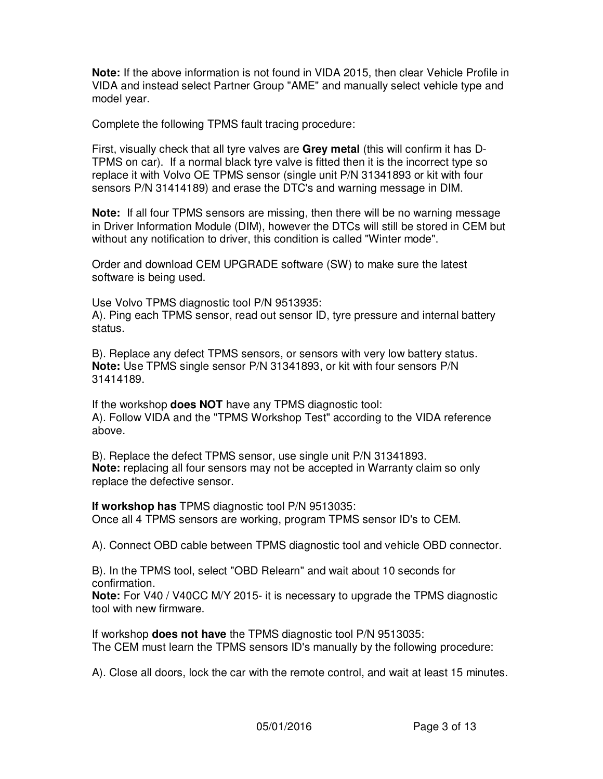**Note:** If the above information is not found in VIDA 2015, then clear Vehicle Profile in VIDA and instead select Partner Group "AME" and manually select vehicle type and model year.

Complete the following TPMS fault tracing procedure:

First, visually check that all tyre valves are **Grey metal** (this will confirm it has D-TPMS on car). If a normal black tyre valve is fitted then it is the incorrect type so replace it with Volvo OE TPMS sensor (single unit P/N 31341893 or kit with four sensors P/N 31414189) and erase the DTC's and warning message in DIM.

**Note:** If all four TPMS sensors are missing, then there will be no warning message in Driver Information Module (DIM), however the DTCs will still be stored in CEM but without any notification to driver, this condition is called "Winter mode".

Order and download CEM UPGRADE software (SW) to make sure the latest software is being used.

Use Volvo TPMS diagnostic tool P/N 9513935: A). Ping each TPMS sensor, read out sensor ID, tyre pressure and internal battery status.

B). Replace any defect TPMS sensors, or sensors with very low battery status. **Note:** Use TPMS single sensor P/N 31341893, or kit with four sensors P/N 31414189.

If the workshop **does NOT** have any TPMS diagnostic tool: A). Follow VIDA and the "TPMS Workshop Test" according to the VIDA reference above.

B). Replace the defect TPMS sensor, use single unit P/N 31341893. **Note:** replacing all four sensors may not be accepted in Warranty claim so only replace the defective sensor.

**If workshop has** TPMS diagnostic tool P/N 9513035: Once all 4 TPMS sensors are working, program TPMS sensor ID's to CEM.

A). Connect OBD cable between TPMS diagnostic tool and vehicle OBD connector.

B). In the TPMS tool, select "OBD Relearn" and wait about 10 seconds for confirmation.

**Note:** For V40 / V40CC M/Y 2015- it is necessary to upgrade the TPMS diagnostic tool with new firmware.

If workshop **does not have** the TPMS diagnostic tool P/N 9513035: The CEM must learn the TPMS sensors ID's manually by the following procedure:

A). Close all doors, lock the car with the remote control, and wait at least 15 minutes.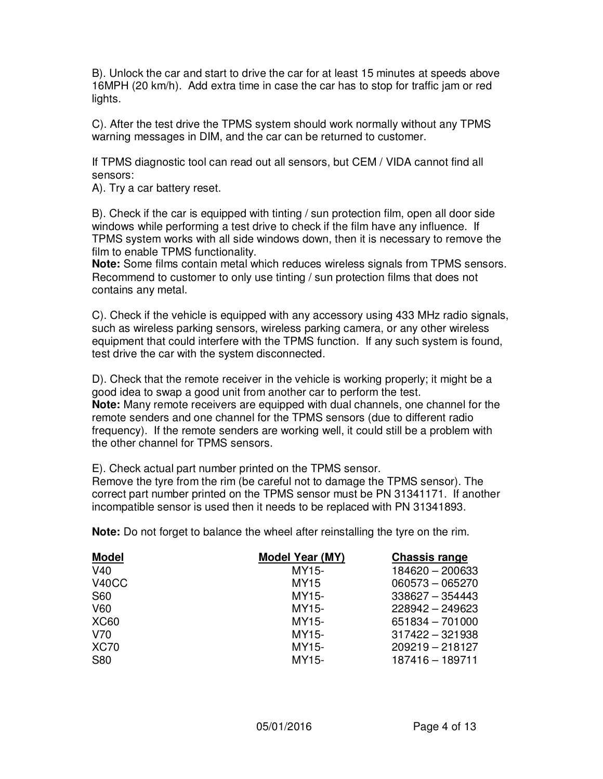B). Unlock the car and start to drive the car for at least 15 minutes at speeds above 16MPH (20 km/h). Add extra time in case the car has to stop for traffic jam or red lights.

C). After the test drive the TPMS system should work normally without any TPMS warning messages in DIM, and the car can be returned to customer.

If TPMS diagnostic tool can read out all sensors, but CEM / VIDA cannot find all sensors:

A). Try a car battery reset.

B). Check if the car is equipped with tinting / sun protection film, open all door side windows while performing a test drive to check if the film have any influence. If TPMS system works with all side windows down, then it is necessary to remove the film to enable TPMS functionality.

**Note:** Some films contain metal which reduces wireless signals from TPMS sensors. Recommend to customer to only use tinting / sun protection films that does not contains any metal.

C). Check if the vehicle is equipped with any accessory using 433 MHz radio signals, such as wireless parking sensors, wireless parking camera, or any other wireless equipment that could interfere with the TPMS function. If any such system is found, test drive the car with the system disconnected.

D). Check that the remote receiver in the vehicle is working properly; it might be a good idea to swap a good unit from another car to perform the test. **Note:** Many remote receivers are equipped with dual channels, one channel for the remote senders and one channel for the TPMS sensors (due to different radio frequency). If the remote senders are working well, it could still be a problem with the other channel for TPMS sensors.

E). Check actual part number printed on the TPMS sensor.

Remove the tyre from the rim (be careful not to damage the TPMS sensor). The correct part number printed on the TPMS sensor must be PN 31341171. If another incompatible sensor is used then it needs to be replaced with PN 31341893.

**Note:** Do not forget to balance the wheel after reinstalling the tyre on the rim.

| <b>Model</b>       | <b>Model Year (MY)</b> | <b>Chassis range</b> |
|--------------------|------------------------|----------------------|
| V40                | MY15-                  | 184620 - 200633      |
| V <sub>40</sub> CC | MY15                   | $060573 - 065270$    |
| S60                | MY15-                  | $338627 - 354443$    |
| V60                | MY15-                  | 228942 - 249623      |
| <b>XC60</b>        | MY15-                  | 651834 - 701000      |
| V70                | MY15-                  | $317422 - 321938$    |
| <b>XC70</b>        | MY15-                  | $209219 - 218127$    |
| <b>S80</b>         | MY15-                  | 187416 - 189711      |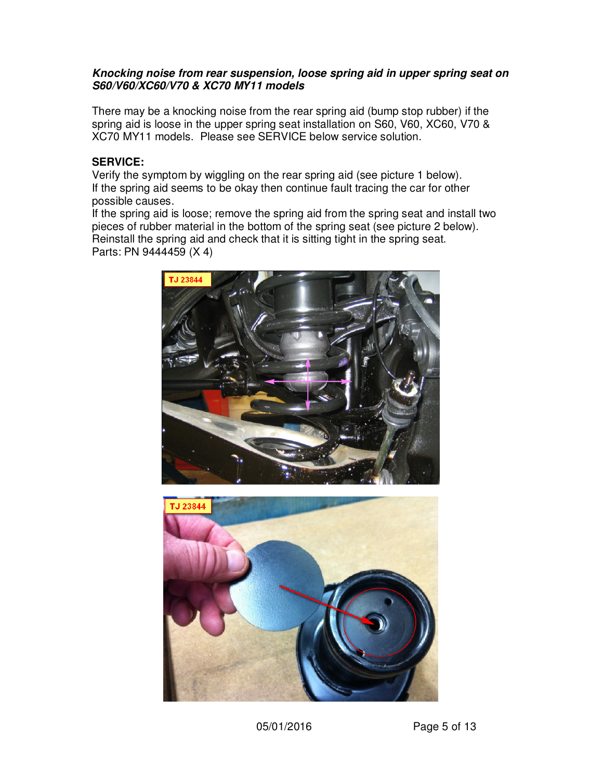#### *Knocking noise from rear suspension, loose spring aid in upper spring seat on S60/V60/XC60/V70 & XC70 MY11 models*

There may be a knocking noise from the rear spring aid (bump stop rubber) if the spring aid is loose in the upper spring seat installation on S60, V60, XC60, V70 & XC70 MY11 models. Please see SERVICE below service solution.

#### **SERVICE:**

Verify the symptom by wiggling on the rear spring aid (see picture 1 below). If the spring aid seems to be okay then continue fault tracing the car for other possible causes.

If the spring aid is loose; remove the spring aid from the spring seat and install two pieces of rubber material in the bottom of the spring seat (see picture 2 below). Reinstall the spring aid and check that it is sitting tight in the spring seat. Parts: PN 9444459 (X 4)



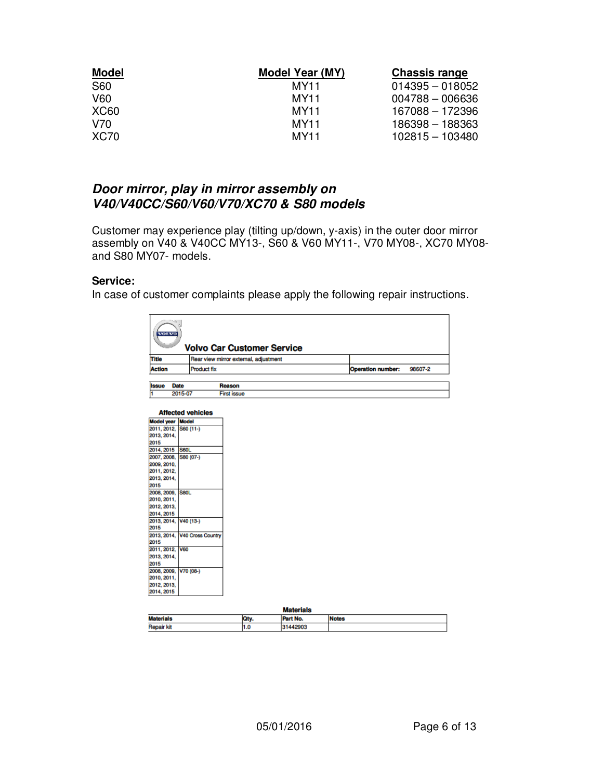| <b>Model</b> | <b>Model Year (MY)</b> | <b>Chassis range</b> |
|--------------|------------------------|----------------------|
| S60          | MY11                   | $014395 - 018052$    |
| V60          | MY11                   | $004788 - 006636$    |
| <b>XC60</b>  | MY11                   | 167088 - 172396      |
| V70          | <b>MY11</b>            | 186398 - 188363      |
| <b>XC70</b>  | MY11                   | 102815 - 103480      |

# *Door mirror, play in mirror assembly on V40/V40CC/S60/V60/V70/XC70 & S80 models*

Customer may experience play (tilting up/down, y-axis) in the outer door mirror assembly on V40 & V40CC MY13-, S60 & V60 MY11-, V70 MY08-, XC70 MY08 and S80 MY07- models.

#### **Service:**

In case of customer complaints please apply the following repair instructions.

|                                                  | <b>VOTAGO</b> |             |                               | <b>Volvo Car Customer Service</b>     |                  |              |                          |         |
|--------------------------------------------------|---------------|-------------|-------------------------------|---------------------------------------|------------------|--------------|--------------------------|---------|
| <b>Title</b>                                     |               |             |                               | Rear view mirror external, adjustment |                  |              |                          |         |
| <b>Action</b>                                    |               |             | <b>Product fix</b>            |                                       |                  |              | <b>Operation number:</b> | 98607-2 |
|                                                  |               |             |                               |                                       |                  |              |                          |         |
| <b>Issue</b>                                     |               | <b>Date</b> |                               | Reason                                |                  |              |                          |         |
| 1                                                |               | 2015-07     |                               | <b>First issue</b>                    |                  |              |                          |         |
|                                                  |               |             | <b>Affected vehicles</b>      |                                       |                  |              |                          |         |
| <b>Model year Model</b><br>2011, 2012, S60 (11-) |               |             |                               |                                       |                  |              |                          |         |
| 2013, 2014,                                      |               |             |                               |                                       |                  |              |                          |         |
| 2015                                             |               |             |                               |                                       |                  |              |                          |         |
| 2014, 2015                                       |               | <b>S60L</b> |                               |                                       |                  |              |                          |         |
| 2007, 2008, S80 (07-)                            |               |             |                               |                                       |                  |              |                          |         |
| 2009, 2010,                                      |               |             |                               |                                       |                  |              |                          |         |
| 2011, 2012,                                      |               |             |                               |                                       |                  |              |                          |         |
| 2013, 2014,                                      |               |             |                               |                                       |                  |              |                          |         |
| 2015                                             |               |             |                               |                                       |                  |              |                          |         |
| 2008, 2009, S80L                                 |               |             |                               |                                       |                  |              |                          |         |
| 2010, 2011,                                      |               |             |                               |                                       |                  |              |                          |         |
| 2012, 2013,                                      |               |             |                               |                                       |                  |              |                          |         |
| 2014, 2015                                       |               |             |                               |                                       |                  |              |                          |         |
| 2013, 2014, V40 (13-)                            |               |             |                               |                                       |                  |              |                          |         |
| 2015                                             |               |             |                               |                                       |                  |              |                          |         |
|                                                  |               |             | 2013, 2014, V40 Cross Country |                                       |                  |              |                          |         |
| 2015                                             |               |             |                               |                                       |                  |              |                          |         |
| 2011, 2012, V60                                  |               |             |                               |                                       |                  |              |                          |         |
| 2013, 2014,                                      |               |             |                               |                                       |                  |              |                          |         |
| 2015                                             |               |             |                               |                                       |                  |              |                          |         |
| 2008, 2009, V70 (08-)                            |               |             |                               |                                       |                  |              |                          |         |
| 2010, 2011,                                      |               |             |                               |                                       |                  |              |                          |         |
| 2012, 2013,<br>2014, 2015                        |               |             |                               |                                       |                  |              |                          |         |
|                                                  |               |             |                               |                                       |                  |              |                          |         |
|                                                  |               |             |                               |                                       | <b>Materials</b> |              |                          |         |
| <b>Materials</b>                                 |               |             |                               | Otv.                                  | Part No.         | <b>Notes</b> |                          |         |

| <b>Materials</b>  |     |       |              |  |
|-------------------|-----|-------|--------------|--|
| <b>Materials</b>  |     | * No. | <b>Notes</b> |  |
| <b>Repair kit</b> | ı.u |       |              |  |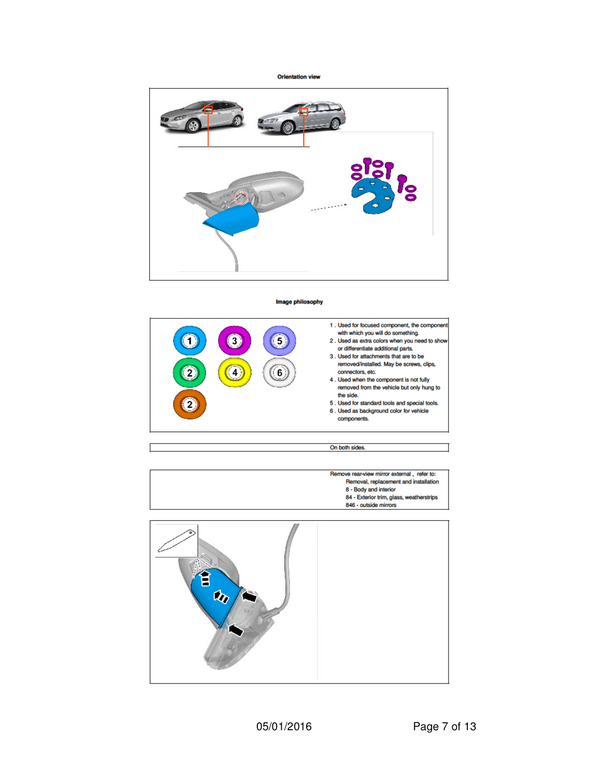**Orientation view** 



#### Image philosophy



On both sides.



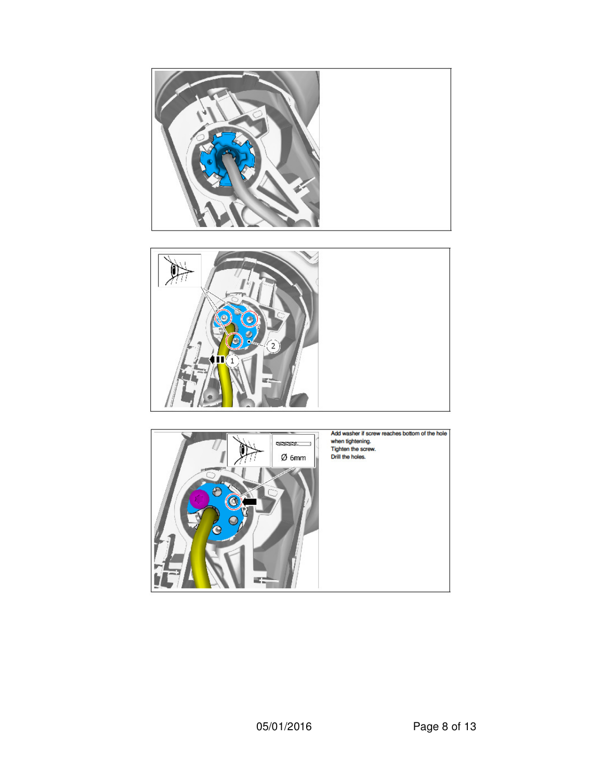



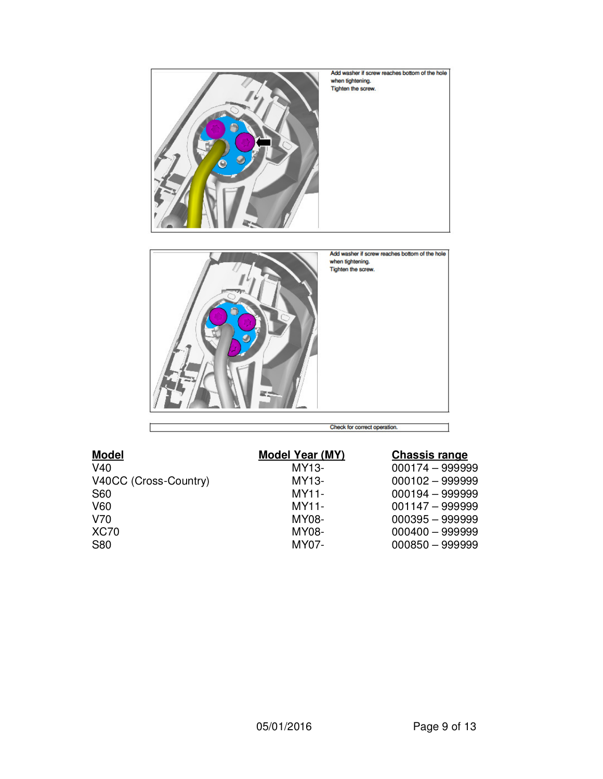

|  | eck for correct operation. |  |
|--|----------------------------|--|

| <b>Model</b>          | <b>Model Year (MY)</b> | <b>Chassis range</b> |
|-----------------------|------------------------|----------------------|
| V40                   | MY13-                  | 000174 - 999999      |
| V40CC (Cross-Country) | MY13-                  | $000102 - 999999$    |
| <b>S60</b>            | $MY11-$                | $000194 - 999999$    |
| V60                   | $MY11-$                | $001147 - 999999$    |
| V70                   | MY08-                  | $000395 - 999999$    |
| <b>XC70</b>           | MY08-                  | $000400 - 999999$    |
| <b>S80</b>            | MY07-                  | $000850 - 999999$    |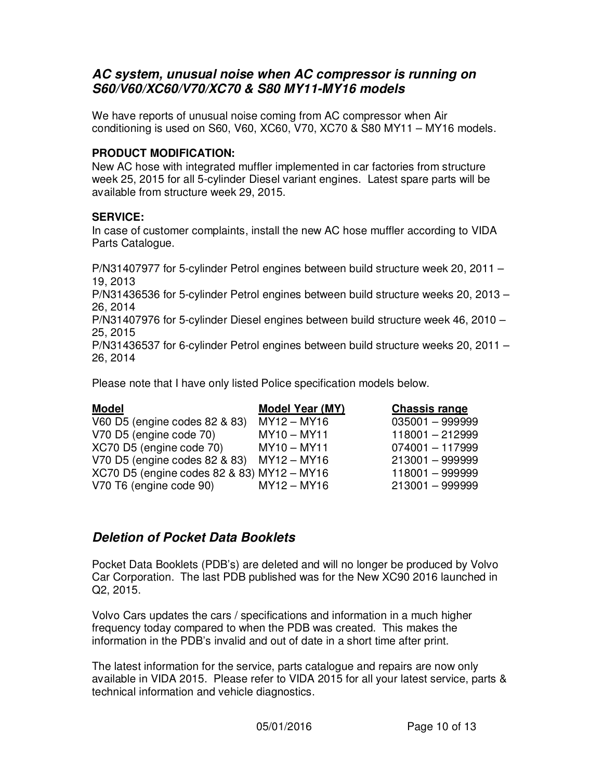### *AC system, unusual noise when AC compressor is running on S60/V60/XC60/V70/XC70 & S80 MY11-MY16 models*

We have reports of unusual noise coming from AC compressor when Air conditioning is used on S60, V60, XC60, V70, XC70 & S80 MY11 – MY16 models.

#### **PRODUCT MODIFICATION:**

New AC hose with integrated muffler implemented in car factories from structure week 25, 2015 for all 5-cylinder Diesel variant engines. Latest spare parts will be available from structure week 29, 2015.

#### **SERVICE:**

In case of customer complaints, install the new AC hose muffler according to VIDA Parts Catalogue.

P/N31407977 for 5-cylinder Petrol engines between build structure week 20, 2011 – 19, 2013

P/N31436536 for 5-cylinder Petrol engines between build structure weeks 20, 2013 – 26, 2014

P/N31407976 for 5-cylinder Diesel engines between build structure week 46, 2010 – 25, 2015

P/N31436537 for 6-cylinder Petrol engines between build structure weeks 20, 2011 – 26, 2014

Please note that I have only listed Police specification models below.

| <b>Model</b>                               | Model Year (MY) | <b>Chassis range</b> |
|--------------------------------------------|-----------------|----------------------|
| V60 D5 (engine codes 82 & 83)              | $MY12 - MY16$   | $035001 - 999999$    |
| V70 D5 (engine code 70)                    | $MY10 - MY11$   | 118001 - 212999      |
| XC70 D5 (engine code 70)                   | $MY10 - MY11$   | $074001 - 117999$    |
| V70 D5 (engine codes 82 & 83) MY12 - MY16  |                 | $213001 - 999999$    |
| XC70 D5 (engine codes 82 & 83) MY12 - MY16 |                 | 118001 - 999999      |
| V70 T6 (engine code 90)                    | $MY12 - MY16$   | $213001 - 999999$    |

### *Deletion of Pocket Data Booklets*

Pocket Data Booklets (PDB's) are deleted and will no longer be produced by Volvo Car Corporation. The last PDB published was for the New XC90 2016 launched in Q2, 2015.

Volvo Cars updates the cars / specifications and information in a much higher frequency today compared to when the PDB was created. This makes the information in the PDB's invalid and out of date in a short time after print.

The latest information for the service, parts catalogue and repairs are now only available in VIDA 2015. Please refer to VIDA 2015 for all your latest service, parts & technical information and vehicle diagnostics.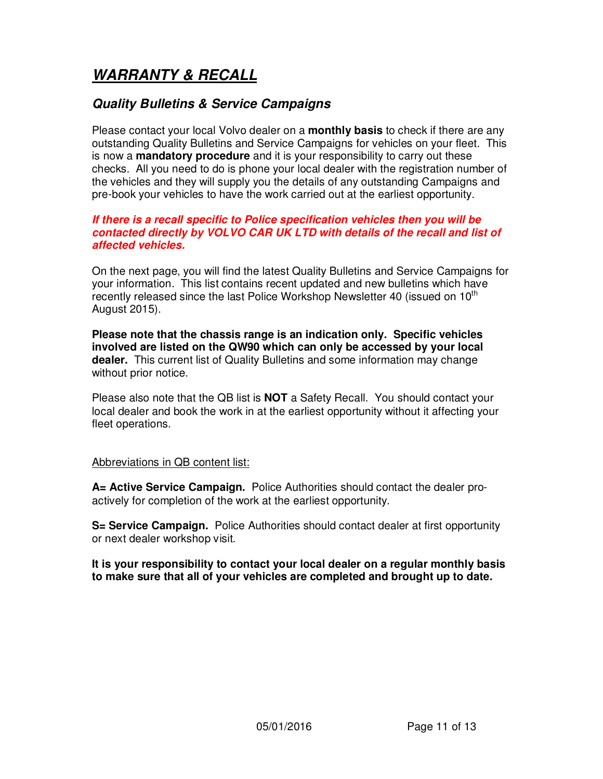# *WARRANTY & RECALL*

# *Quality Bulletins & Service Campaigns*

Please contact your local Volvo dealer on a **monthly basis** to check if there are any outstanding Quality Bulletins and Service Campaigns for vehicles on your fleet. This is now a **mandatory procedure** and it is your responsibility to carry out these checks. All you need to do is phone your local dealer with the registration number of the vehicles and they will supply you the details of any outstanding Campaigns and pre-book your vehicles to have the work carried out at the earliest opportunity.

#### *If there is a recall specific to Police specification vehicles then you will be contacted directly by VOLVO CAR UK LTD with details of the recall and list of affected vehicles.*

On the next page, you will find the latest Quality Bulletins and Service Campaigns for your information. This list contains recent updated and new bulletins which have recently released since the last Police Workshop Newsletter 40 (issued on 10<sup>th</sup> August 2015).

**Please note that the chassis range is an indication only. Specific vehicles involved are listed on the QW90 which can only be accessed by your local dealer.** This current list of Quality Bulletins and some information may change without prior notice.

Please also note that the QB list is **NOT** a Safety Recall. You should contact your local dealer and book the work in at the earliest opportunity without it affecting your fleet operations.

#### Abbreviations in QB content list:

**A= Active Service Campaign.** Police Authorities should contact the dealer proactively for completion of the work at the earliest opportunity.

**S= Service Campaign.** Police Authorities should contact dealer at first opportunity or next dealer workshop visit.

**It is your responsibility to contact your local dealer on a regular monthly basis to make sure that all of your vehicles are completed and brought up to date.**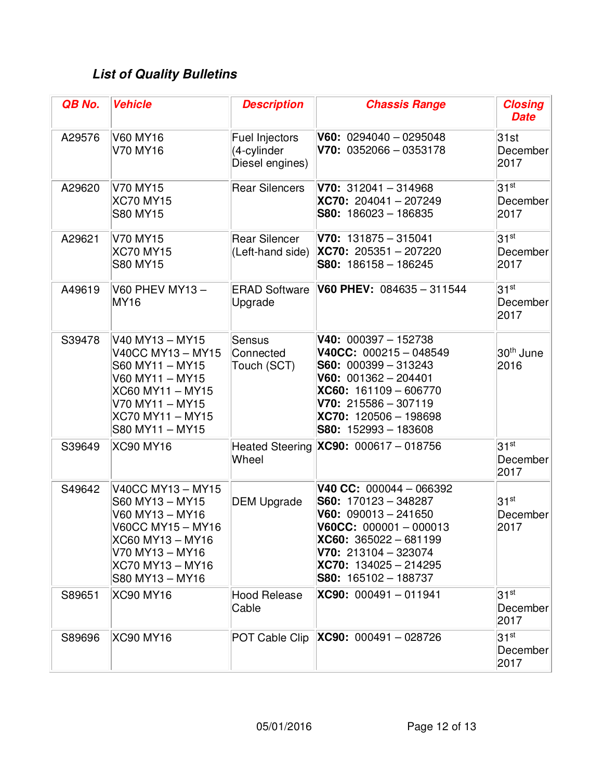# *List of Quality Bulletins*

| QB No. | <b>Vehicle</b>                                                                                                                                             | <b>Description</b>                               | <b>Chassis Range</b>                                                                                                                                                                                              | <b>Closing</b><br><b>Date</b>        |
|--------|------------------------------------------------------------------------------------------------------------------------------------------------------------|--------------------------------------------------|-------------------------------------------------------------------------------------------------------------------------------------------------------------------------------------------------------------------|--------------------------------------|
| A29576 | <b>V60 MY16</b><br>V70 MY16                                                                                                                                | Fuel Injectors<br>(4-cylinder<br>Diesel engines) | $V60: 0294040 - 0295048$<br>$V70: 0352066 - 0353178$                                                                                                                                                              | 31st<br>December<br>2017             |
| A29620 | V70 MY15<br><b>XC70 MY15</b><br><b>S80 MY15</b>                                                                                                            | <b>Rear Silencers</b>                            | $V70: 312041 - 314968$<br>XC70: 204041-207249<br>$S80: 186023 - 186835$                                                                                                                                           | $31^{st}$<br>December<br>2017        |
| A29621 | V70 MY15<br><b>XC70 MY15</b><br><b>S80 MY15</b>                                                                                                            | <b>Rear Silencer</b><br>(Left-hand side)         | $V70: 131875 - 315041$<br>$ XC70: 205351 - 207220$<br>$S80: 186158 - 186245$                                                                                                                                      | $31^{st}$<br>December<br>2017        |
| A49619 | V60 PHEV MY13-<br><b>MY16</b>                                                                                                                              | <b>ERAD Software</b><br>Upgrade                  | V60 PHEV: 084635 - 311544                                                                                                                                                                                         | 31 <sup>st</sup><br>December<br>2017 |
| S39478 | V40 MY13 - MY15<br>V40CC MY13 - MY15<br>S60 MY11 - MY15<br>V60 MY11 - MY15<br>XC60 MY11 - MY15<br>V70 MY11 - MY15<br>XC70 MY11 - MY15<br>S80 MY11 - MY15   | <b>Sensus</b><br>Connected<br>Touch (SCT)        | $V40: 000397 - 152738$<br>$V40CC: 000215 - 048549$<br>$S60: 000399 - 313243$<br>$V60: 001362 - 204401$<br>$XCG0: 161109 - 606770$<br>$V70: 215586 - 307119$<br>XC70: 120506 - 198698<br>$ $ S80: 152993 - 183608  | 30 <sup>th</sup> June<br>2016        |
| S39649 | <b>XC90 MY16</b>                                                                                                                                           | Wheel                                            | Heated Steering XC90: 000617 - 018756                                                                                                                                                                             | 31 <sup>st</sup><br>December<br>2017 |
| S49642 | V40CC MY13 - MY15<br>S60 MY13 - MY15<br>V60 MY13 - MY16<br>V60CC MY15 – MY16<br>XC60 MY13 - MY16<br>V70 MY13 – MY16<br>XC70 MY13 - MY16<br>S80 MY13 - MY16 | <b>DEM Upgrade</b>                               | V40 CC: $000044 - 066392$<br>$S60: 170123 - 348287$<br>$V60: 090013 - 241650$<br>$V60CC: 000001 - 000013$<br>$XC60: 365022 - 681199$<br>$V70: 213104 - 323074$<br>$XC70: 134025 - 214295$<br>S80: 165102 - 188737 | $31^{st}$<br>December<br>2017        |
| S89651 | <b>XC90 MY16</b>                                                                                                                                           | <b>Hood Release</b><br>Cable                     | XC90: 000491-011941                                                                                                                                                                                               | 31 <sup>st</sup><br>December<br>2017 |
| S89696 | <b>XC90 MY16</b>                                                                                                                                           | POT Cable Clip                                   | $ XC90: 000491 - 028726$                                                                                                                                                                                          | $31^{st}$<br>December<br>2017        |